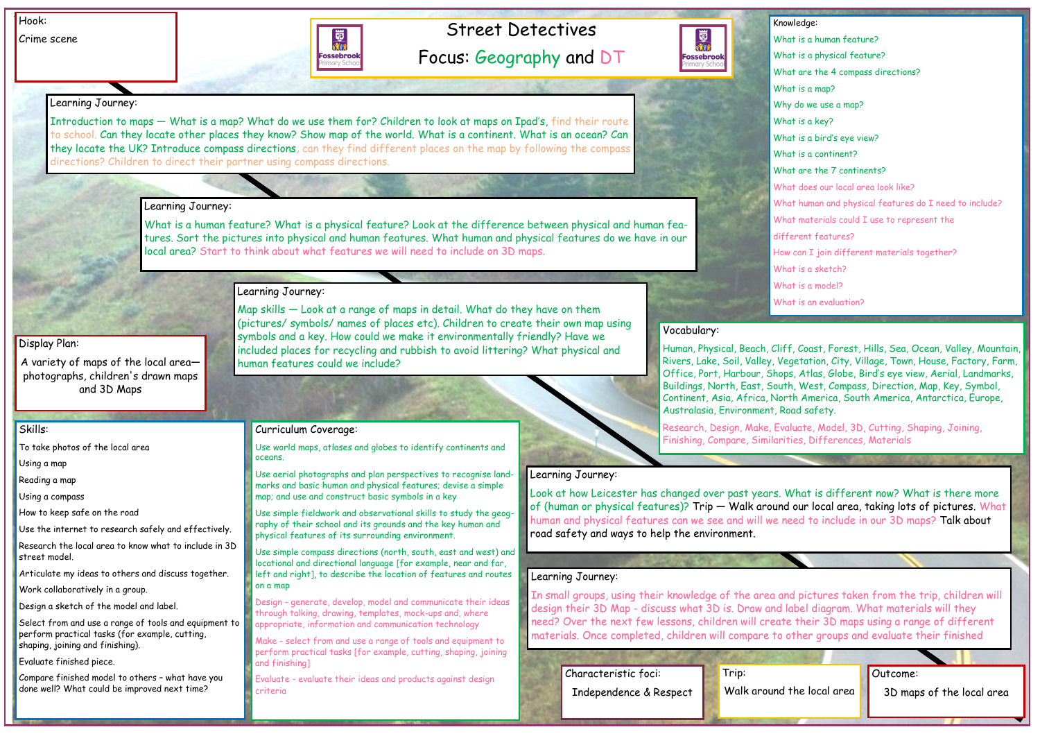# Street Detectives

Focus: Geography and DT

Crime scene

Outcome:

3D maps of the local area

#### Skills:

To take photos of the local area

Using a map

Reading a map

Using a compass

How to keep safe on the road

Use the internet to research safely and effectively.

Research the local area to know what to include in 3D street model.

Articulate my ideas to others and discuss together.

Work collaboratively in a group.

Design a sketch of the model and label.

Select from and use a range of tools and equipment to perform practical tasks (for example, cutting, shaping, joining and finishing).

Evaluate finished piece.

Compare finished model to others – what have you done well? What could be improved next time?

# Learning Journey:

Introduction to maps — What is a map? What do we use them for? Children to look at maps on Ipad's, find their route to school. Can they locate other places they know? Show map of the world. What is a continent. What is an ocean? Can they locate the UK? Introduce compass directions, can they find different places on the map by following the compass directions? Children to direct their partner using compass directions.

# Learning Journey:

What is a human feature? What is a physical feature? Look at the difference between physical and human features. Sort the pictures into physical and human features. What human and physical features do we have in our local area? Start to think about what features we will need to include on 3D maps.

# Learning Journey:

Map skills — Look at a range of maps in detail. What do they have on them

(pictures/ symbols/ names of places etc). Children to create their own map using

symbols and a key. How could we make it environmentally friendly? Have we included places for recycling and rubbish to avoid littering? What physical and

human features could we include?

Learning Journey:

Look at how Leicester has changed over past years. What is different now? What is there more of (human or physical features)? Trip — Walk around our local area, taking lots of pictures. What human and physical features can we see and will we need to include in our 3D maps? Talk about road safety and ways to help the environment.

# Learning Journey:

In small groups, using their knowledge of the area and pictures taken from the trip, children will design their 3D Map - discuss what 3D is. Draw and label diagram. What materials will they need? Over the next few lessons, children will create their 3D maps using a range of different materials. Once completed, children will compare to other groups and evaluate their finished

## Curriculum Coverage:

Use world maps, atlases and globes to identify continents and oceans.

Use aerial photographs and plan perspectives to recognise landmarks and basic human and physical features; devise a simple map; and use and construct basic symbols in a key

Use simple fieldwork and observational skills to study the geography of their school and its grounds and the key human and physical features of its surrounding environment.

Use simple compass directions (north, south, east and west) and locational and directional language [for example, near and far, left and right], to describe the location of features and routes on a map

Design - generate, develop, model and communicate their ideas through talking, drawing, templates, mock-ups and, where appropriate, information and communication technology

Make - select from and use a range of tools and equipment to perform practical tasks [for example, cutting, shaping, joining and finishing]

Evaluate - evaluate their ideas and products against design criteria



 $W<sub>h</sub>$  $W<sub>b</sub>$  $W<sub>k</sub>$  $W<sub>h</sub>$ dif  $W<sub>h</sub>$  $W<sub>h</sub>$  $W<sub>h</sub>$ 

# Vocabulary:

Human, Physical, Beach, Cliff, Coast, Forest, Hills, Sea, Ocean, Valley, Mountain, Rivers, Lake, Soil, Valley, Vegetation, City, Village, Town, House, Factory, Farm, Office, Port, Harbour, Shops, Atlas, Globe, Bird's eye view, Aerial, Landmarks, Buildings, North, East, South, West, Compass, Direction, Map, Key, Symbol, Continent, Asia, Africa, North America, South America, Antarctica, Europe, Australasia, Environment, Road safety.

Research, Design, Make, Evaluate, Model, 3D, Cutting, Shaping, Joining, Finishing, Compare, Similarities, Differences, Materials

## Display Plan:

A variety of maps of the local area photographs, children's drawn maps and 3D Maps

Walk around the local area

Trip: Characteristic foci: Independence & Respect